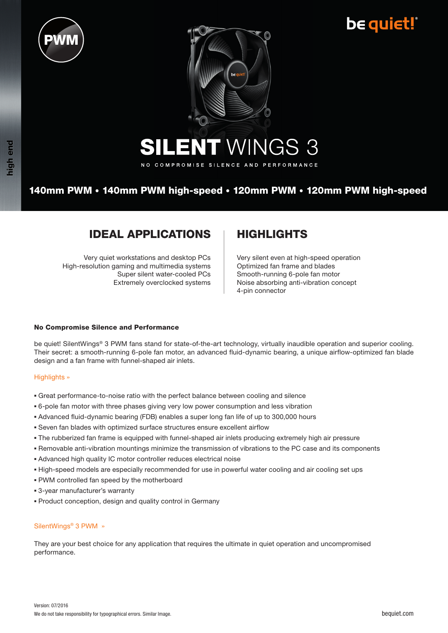





NO COMPROMISE SILENCE AND PERFORMANCE

## 140mm PWM • 140mm PWM high-speed • 120mm PWM • 120mm PWM high-speed

## **IDEAL APPLICATIONS | HIGHLIGHTS**

Very quiet workstations and desktop PCs High-resolution gaming and multimedia systems Super silent water-cooled PCs Extremely overclocked systems

Very silent even at high-speed operation Optimized fan frame and blades Smooth-running 6-pole fan motor Noise absorbing anti-vibration concept 4-pin connector

### No Compromise Silence and Performance

be quiet! SilentWings<sup>®</sup> 3 PWM fans stand for state-of-the-art technology, virtually inaudible operation and superior cooling. Their secret: a smooth-running 6-pole fan motor, an advanced fluid-dynamic bearing, a unique airflow-optimized fan blade design and a fan frame with funnel-shaped air inlets.

#### Highlights »

- Great performance-to-noise ratio with the perfect balance between cooling and silence
- 6-pole fan motor with three phases giving very low power consumption and less vibration
- Advanced fluid-dynamic bearing (FDB) enables a super long fan life of up to 300,000 hours
- Seven fan blades with optimized surface structures ensure excellent airflow
- The rubberized fan frame is equipped with funnel-shaped air inlets producing extremely high air pressure
- Removable anti-vibration mountings minimize the transmission of vibrations to the PC case and its components
- Advanced high quality IC motor controller reduces electrical noise
- High-speed models are especially recommended for use in powerful water cooling and air cooling set ups
- PWM controlled fan speed by the motherboard
- 3-year manufacturer's warranty
- Product conception, design and quality control in Germany

#### SilentWings® 3 PWM »

They are your best choice for any application that requires the ultimate in quiet operation and uncompromised performance.